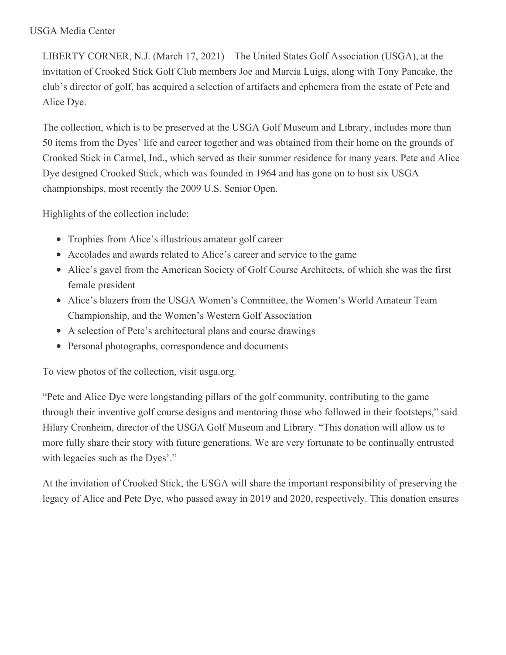## USGA Media Center

LIBERTY CORNER, N.J. (March 17, 2021) – The United States Golf Association (USGA), at the invitation of Crooked Stick Golf Club members Joe and Marcia Luigs, along with Tony Pancake, the club's director of golf, has acquired a selection of artifacts and ephemera from the estate of Pete and Alice Dye.

The collection, which is to be preserved at the USGA Golf Museum and Library, includes more than 50 items from the Dyes' life and career together and was obtained from their home on the grounds of Crooked Stick in Carmel, Ind., which served as their summer residence for many years. Pete and Alice Dye designed Crooked Stick, which was founded in 1964 and has gone on to host six USGA championships, most recently the 2009 U.S. Senior Open.

Highlights of the collection include:

- Trophies from Alice's illustrious amateur golf career
- Accolades and awards related to Alice's career and service to the game
- Alice's gavel from the American Society of Golf Course Architects, of which she was the first female president
- Alice's blazers from the USGA Women's Committee, the Women's World Amateur Team Championship, and the Women's Western Golf Association
- A selection of Pete's architectural plans and course drawings
- Personal photographs, correspondence and documents

To view photos of the collection, visit usga.org.

"Pete and Alice Dye were longstanding pillars of the golf community, contributing to the game through their inventive golf course designs and mentoring those who followed in their footsteps," said Hilary Cronheim, director of the USGA Golf Museum and Library. "This donation will allow us to more fully share their story with future generations. We are very fortunate to be continually entrusted with legacies such as the Dyes'."

At the invitation of Crooked Stick, the USGA will share the important responsibility of preserving the legacy of Alice and Pete Dye, who passed away in 2019 and 2020, respectively. This donation ensures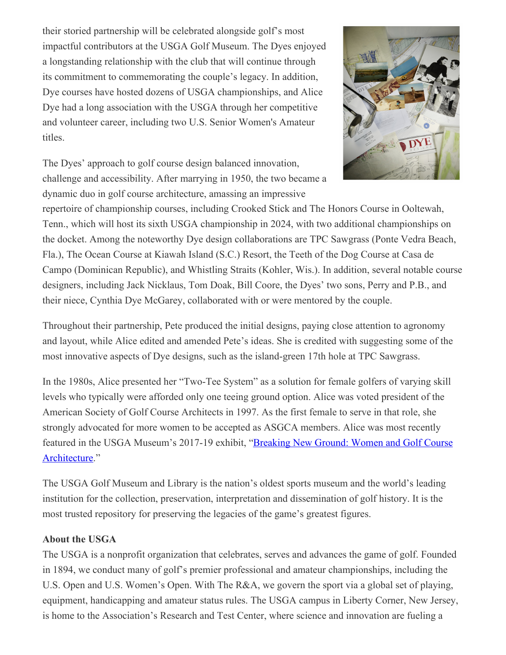their storied partnership will be celebrated alongside golf's most impactful contributors at the USGA Golf Museum. The Dyes enjoyed a longstanding relationship with the club that will continue through its commitment to commemorating the couple's legacy. In addition, Dye courses have hosted dozens of USGA championships, and Alice Dye had a long association with the USGA through her competitive and volunteer career, including two U.S. Senior Women's Amateur titles.



The Dyes' approach to golf course design balanced innovation, challenge and accessibility. After marrying in 1950, the two became a dynamic duo in golf course architecture, amassing an impressive

repertoire of championship courses, including Crooked Stick and The Honors Course in Ooltewah, Tenn., which will host its sixth USGA championship in 2024, with two additional championships on the docket. Among the noteworthy Dye design collaborations are TPC Sawgrass (Ponte Vedra Beach, Fla.), The Ocean Course at Kiawah Island (S.C.) Resort, the Teeth of the Dog Course at Casa de Campo (Dominican Republic), and Whistling Straits (Kohler, Wis.). In addition, several notable course designers, including Jack Nicklaus, Tom Doak, Bill Coore, the Dyes' two sons, Perry and P.B., and their niece, Cynthia Dye McGarey, collaborated with or were mentored by the couple.

Throughout their partnership, Pete produced the initial designs, paying close attention to agronomy and layout, while Alice edited and amended Pete's ideas. She is credited with suggesting some of the most innovative aspects of Dye designs, such as the island-green 17th hole at TPC Sawgrass.

In the 1980s, Alice presented her "Two-Tee System" as a solution for female golfers of varying skill levels who typically were afforded only one teeing ground option. Alice was voted president of the American Society of Golf Course Architects in 1997. As the first female to serve in that role, she strongly advocated for more women to be accepted as ASGCA members. Alice was most recently featured in the USGA Museum's 2017-19 exhibit, "Breaking New Ground: Women and Golf Course [Architecture."](https://nam12.safelinks.protection.outlook.com/?url=https%3A%2F%2Fmediacenter.usga.org%2Fpress-releases%3Fitem%3D122543&data=04%7C01%7CJGeske%40USGA.org%7C3696d6308aee4d905bdb08d8e973abb9%7C17abf7083a064391bdbd06808d1b9f81%7C0%7C0%7C637516030321243412%7CUnknown%7CTWFpbGZsb3d8eyJWIjoiMC4wLjAwMDAiLCJQIjoiV2luMzIiLCJBTiI6Ik1haWwiLCJXVCI6Mn0%3D%7C1000&sdata=TpLy82yf2Tuv%2FpbP%2FzMP4js9gmwLtAIQBvKrhzMtZmk%3D&reserved=0)

The USGA Golf Museum and Library is the nation's oldest sports museum and the world's leading institution for the collection, preservation, interpretation and dissemination of golf history. It is the most trusted repository for preserving the legacies of the game's greatest figures.

## **About the USGA**

The USGA is a nonprofit organization that celebrates, serves and advances the game of golf. Founded in 1894, we conduct many of golf's premier professional and amateur championships, including the U.S. Open and U.S. Women's Open. With The R&A, we govern the sport via a global set of playing, equipment, handicapping and amateur status rules. The USGA campus in Liberty Corner, New Jersey, is home to the Association's Research and Test Center, where science and innovation are fueling a